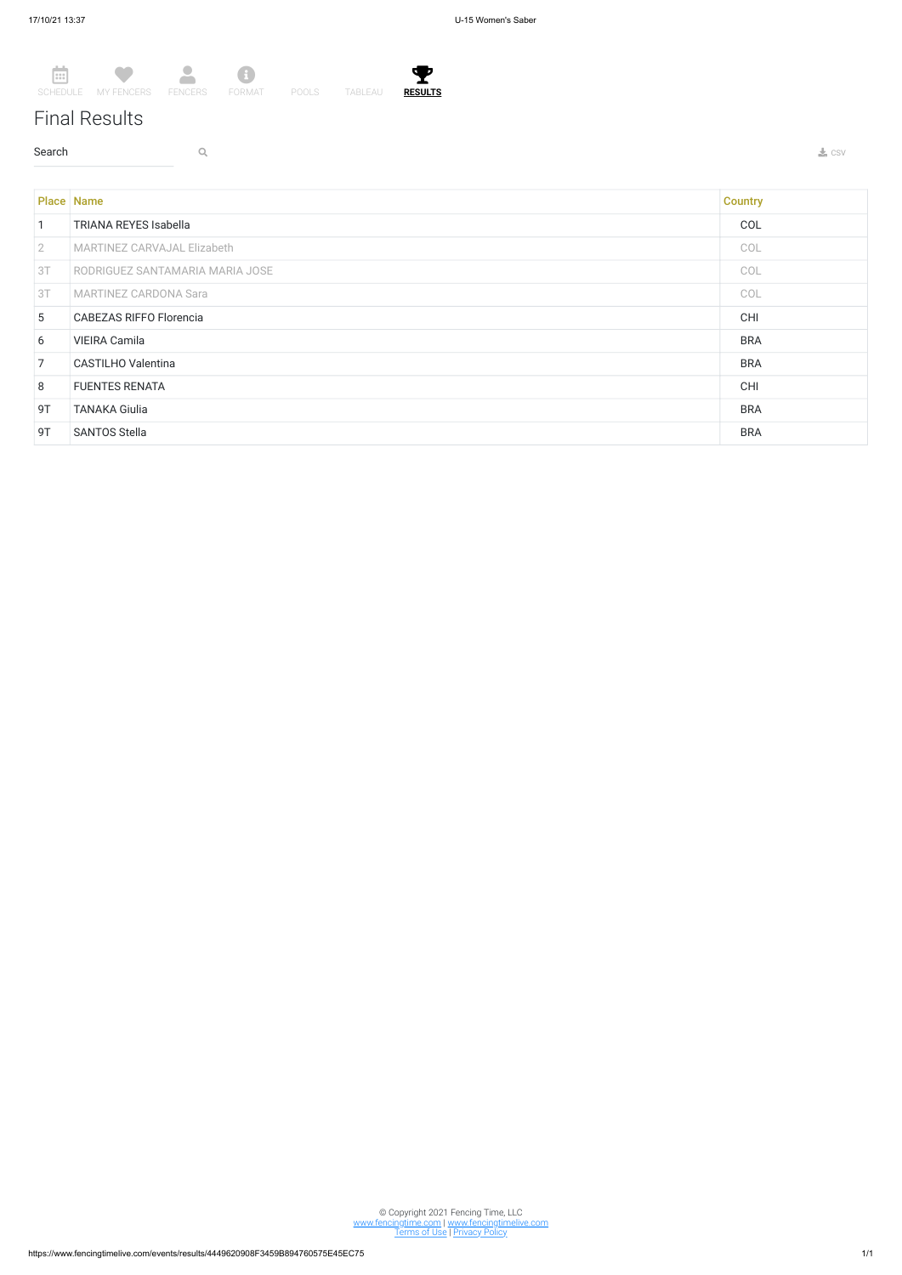## Final Results

 $\sim$  Search  $\sim$  Q. The contract of the contract of the contract of the contract of the contract of the contract of the contract of the contract of the contract of the contract of the contract of the contract of the contr



© Copyright 2021 Fencing Time, LLC www.fencingtime.com | www.fencingtimelive.com <u>Terms of Use | Privacy Policy</u>

|                | <b>Place Name</b>                  | <b>Country</b> |
|----------------|------------------------------------|----------------|
| $\vert$ 1      | <b>TRIANA REYES Isabella</b>       | COL            |
| $\sqrt{2}$     | <b>MARTINEZ CARVAJAL Elizabeth</b> | COL            |
| 3T             | RODRIGUEZ SANTAMARIA MARIA JOSE    | COL            |
| 3T             | <b>MARTINEZ CARDONA Sara</b>       | COL            |
| 5 <sup>5</sup> | <b>CABEZAS RIFFO Florencia</b>     | CHI            |
| 6              | <b>VIEIRA Camila</b>               | <b>BRA</b>     |
| $\overline{7}$ | CASTILHO Valentina                 | <b>BRA</b>     |
| 8              | <b>FUENTES RENATA</b>              | CHI            |
| 9T             | <b>TANAKA Giulia</b>               | <b>BRA</b>     |
| 9T             | <b>SANTOS Stella</b>               | <b>BRA</b>     |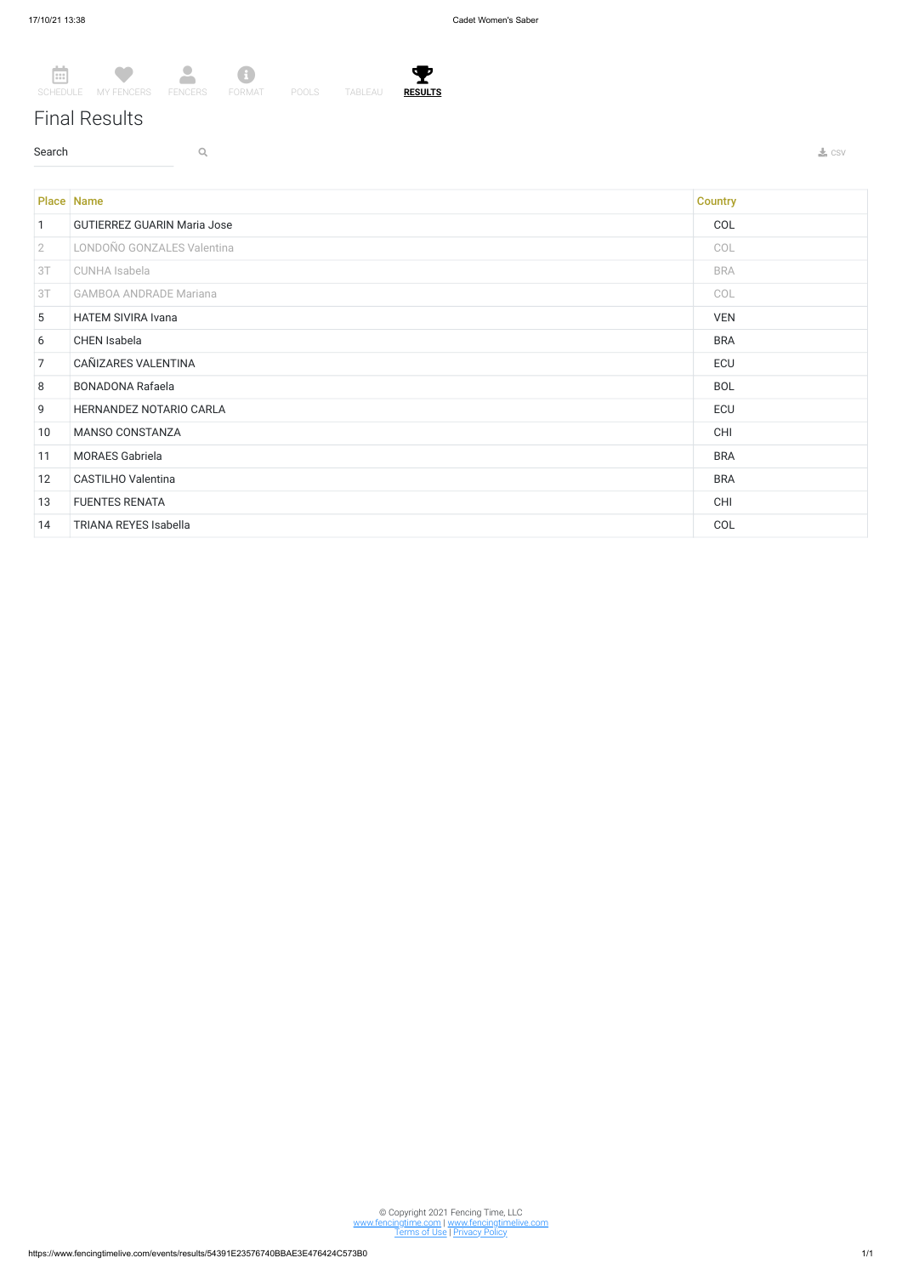## Final Results

 $\sim$  Search  $\sim$  Q. The contract of the contract of the contract of the contract of the contract of the contract of the contract of the contract of the contract of the contract of the contract of the contract of the contr



© Copyright 2021 Fencing Time, LLC www.fencingtime.com | www.fencingtimelive.com <u>Terms of Use | Privacy Policy</u>

|                 | <b>Place Name</b>                  | <b>Country</b> |
|-----------------|------------------------------------|----------------|
| $\mathbf{1}$    | <b>GUTIERREZ GUARIN Maria Jose</b> | COL            |
| $\overline{2}$  | LONDOÑO GONZALES Valentina         | COL            |
| 3T              | <b>CUNHA Isabela</b>               | <b>BRA</b>     |
| 3T              | <b>GAMBOA ANDRADE Mariana</b>      | COL            |
| $5\overline{)}$ | <b>HATEM SIVIRA Ivana</b>          | <b>VEN</b>     |
| 6               | CHEN Isabela                       | <b>BRA</b>     |
| $\overline{7}$  | CAÑIZARES VALENTINA                | ECU            |
| 8               | <b>BONADONA Rafaela</b>            | <b>BOL</b>     |
| 9               | HERNANDEZ NOTARIO CARLA            | ECU            |
| 10              | MANSO CONSTANZA                    | CHI            |
| 11              | <b>MORAES Gabriela</b>             | <b>BRA</b>     |
| 12              | <b>CASTILHO Valentina</b>          | <b>BRA</b>     |
| 13              | <b>FUENTES RENATA</b>              | <b>CHI</b>     |
| 14              | <b>TRIANA REYES Isabella</b>       | COL            |

T